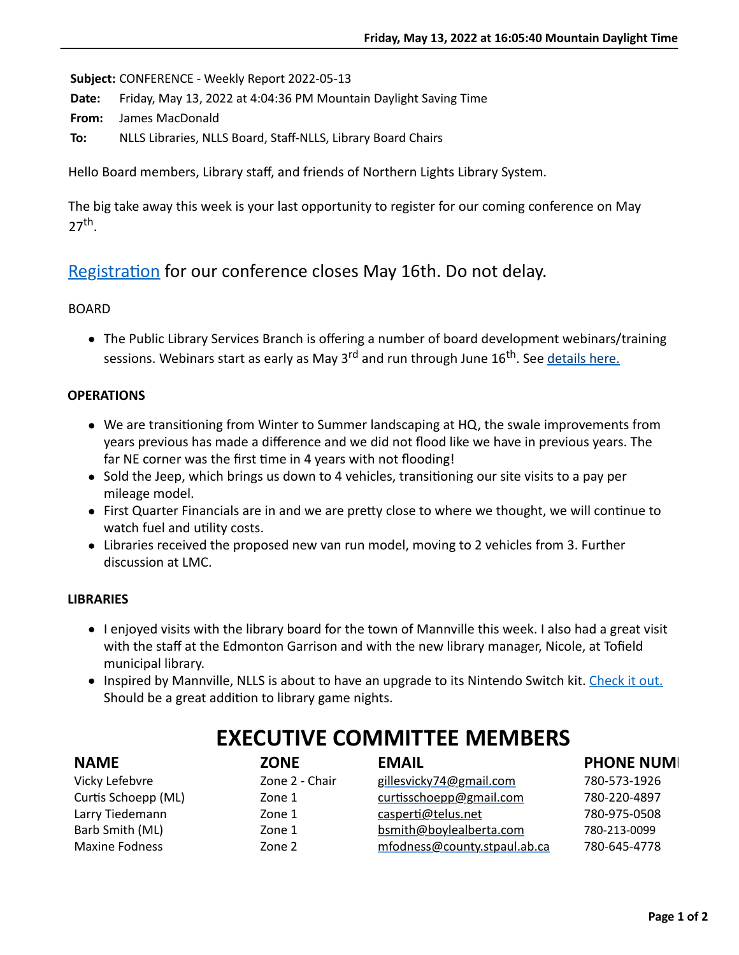**Subject:** CONFERENCE - Weekly Report 2022-05-13

**Date:** Friday, May 13, 2022 at 4:04:36 PM Mountain Daylight Saving Time

**From:** James MacDonald

**To:** NLLS Libraries, NLLS Board, Staff-NLLS, Library Board Chairs

Hello Board members, Library staff, and friends of Northern Lights Library System.

The big take away this week is your last opportunity to register for our coming conference on May  $27<sup>th</sup>$ .

## Registration for our conference closes May 16th. Do not delay.

#### BOARD

• The Public Library Services Branch is offering a number of board development webinars/training sessions. Webinars start as early as May 3<sup>rd</sup> and run through June 16<sup>th</sup>. See [details here.](https://nlls-my.sharepoint.com/:w:/g/personal/jmacdonald_nlls_ab_ca/EcxIm4fIsMZPt5-Ky-Cl4v8B6fCs5BtHi7WKo0sSai4MqQ?e=5xYSxK)

### **OPERATIONS**

- $\bullet$  We are transitioning from Winter to Summer landscaping at HQ, the swale improvements from years previous has made a difference and we did not flood like we have in previous years. The far NE corner was the first time in 4 years with not flooding!
- Sold the Jeep, which brings us down to 4 vehicles, transitioning our site visits to a pay per mileage model.
- First Quarter Financials are in and we are pretty close to where we thought, we will continue to watch fuel and utility costs.
- Libraries received the proposed new van run model, moving to 2 vehicles from 3. Further discussion at LMC.

#### **LIBRARIES**

- I enjoyed visits with the library board for the town of Mannville this week. I also had a great visit with the staff at the Edmonton Garrison and with the new library manager, Nicole, at Tofield municipal library.
- Inspired by Mannville, NLLS is about to have an upgrade to its Nintendo Switch kit. [Check it out.](https://youtu.be/X6o6T40w6As) Should be a great addition to library game nights.

| <b>NAME</b>           | <b>ZONE</b>    | <b>EMAIL</b>                 | <b>PHONE NUMI</b> |
|-----------------------|----------------|------------------------------|-------------------|
| Vicky Lefebvre        | Zone 2 - Chair | gillesvicky74@gmail.com      | 780-573-1926      |
| Curtis Schoepp (ML)   | Zone 1         | curtisschoepp@gmail.com      | 780-220-4897      |
| Larry Tiedemann       | Zone 1         | casperti@telus.net           | 780-975-0508      |
| Barb Smith (ML)       | Zone 1         | bsmith@boylealberta.com      | 780-213-0099      |
| <b>Maxine Fodness</b> | Zone 2         | mfodness@county.stpaul.ab.ca | 780-645-4778      |

# **EXECUTIVE COMMITTEE MEMBERS**